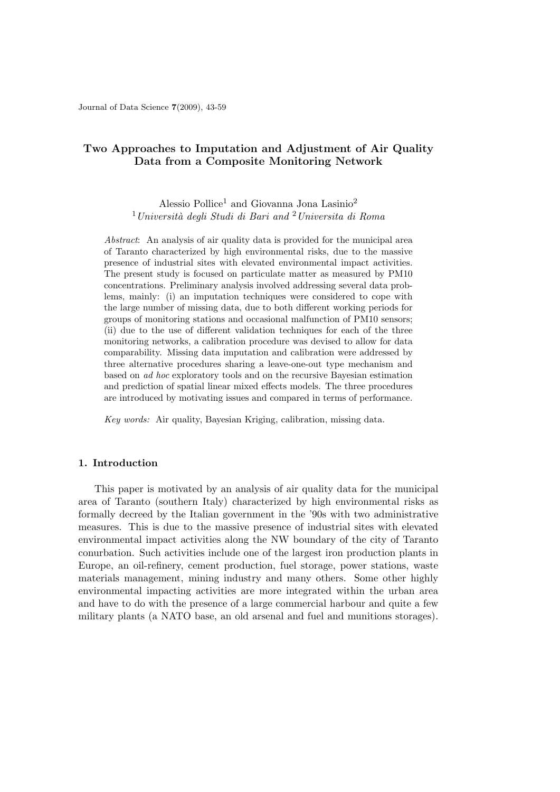# **Two Approaches to Imputation and Adjustment of Air Quality Data from a Composite Monitoring Network**

Alessio Pollice<sup>1</sup> and Giovanna Jona Lasinio<sup>2</sup> <sup>1</sup>*Universit`a degli Studi di Bari and* <sup>2</sup>*Universita di Roma*

*Abstract*: An analysis of air quality data is provided for the municipal area of Taranto characterized by high environmental risks, due to the massive presence of industrial sites with elevated environmental impact activities. The present study is focused on particulate matter as measured by PM10 concentrations. Preliminary analysis involved addressing several data problems, mainly: (i) an imputation techniques were considered to cope with the large number of missing data, due to both different working periods for groups of monitoring stations and occasional malfunction of PM10 sensors; (ii) due to the use of different validation techniques for each of the three monitoring networks, a calibration procedure was devised to allow for data comparability. Missing data imputation and calibration were addressed by three alternative procedures sharing a leave-one-out type mechanism and based on *ad hoc* exploratory tools and on the recursive Bayesian estimation and prediction of spatial linear mixed effects models. The three procedures are introduced by motivating issues and compared in terms of performance.

*Key words:* Air quality, Bayesian Kriging, calibration, missing data.

## **1. Introduction**

This paper is motivated by an analysis of air quality data for the municipal area of Taranto (southern Italy) characterized by high environmental risks as formally decreed by the Italian government in the '90s with two administrative measures. This is due to the massive presence of industrial sites with elevated environmental impact activities along the NW boundary of the city of Taranto conurbation. Such activities include one of the largest iron production plants in Europe, an oil-refinery, cement production, fuel storage, power stations, waste materials management, mining industry and many others. Some other highly environmental impacting activities are more integrated within the urban area and have to do with the presence of a large commercial harbour and quite a few military plants (a NATO base, an old arsenal and fuel and munitions storages).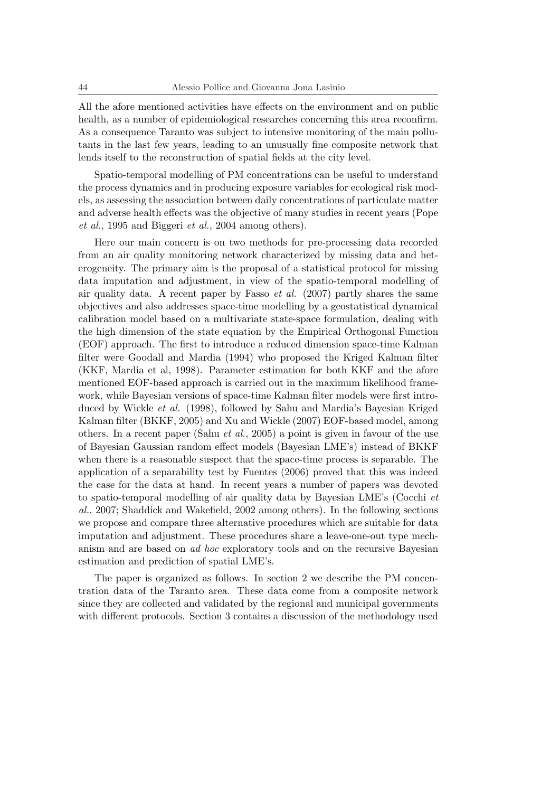All the afore mentioned activities have effects on the environment and on public health, as a number of epidemiological researches concerning this area reconfirm. As a consequence Taranto was subject to intensive monitoring of the main pollutants in the last few years, leading to an unusually fine composite network that lends itself to the reconstruction of spatial fields at the city level.

Spatio-temporal modelling of PM concentrations can be useful to understand the process dynamics and in producing exposure variables for ecological risk models, as assessing the association between daily concentrations of particulate matter and adverse health effects was the objective of many studies in recent years (Pope *et al.*, 1995 and Biggeri *et al.*, 2004 among others).

Here our main concern is on two methods for pre-processing data recorded from an air quality monitoring network characterized by missing data and heterogeneity. The primary aim is the proposal of a statistical protocol for missing data imputation and adjustment, in view of the spatio-temporal modelling of air quality data. A recent paper by Fasso *et al.* (2007) partly shares the same objectives and also addresses space-time modelling by a geostatistical dynamical calibration model based on a multivariate state-space formulation, dealing with the high dimension of the state equation by the Empirical Orthogonal Function (EOF) approach. The first to introduce a reduced dimension space-time Kalman filter were Goodall and Mardia (1994) who proposed the Kriged Kalman filter (KKF, Mardia et al, 1998). Parameter estimation for both KKF and the afore mentioned EOF-based approach is carried out in the maximum likelihood framework, while Bayesian versions of space-time Kalman filter models were first introduced by Wickle *et al.* (1998), followed by Sahu and Mardia's Bayesian Kriged Kalman filter (BKKF, 2005) and Xu and Wickle (2007) EOF-based model, among others. In a recent paper (Sahu *et al.*, 2005) a point is given in favour of the use of Bayesian Gaussian random effect models (Bayesian LME's) instead of BKKF when there is a reasonable suspect that the space-time process is separable. The application of a separability test by Fuentes (2006) proved that this was indeed the case for the data at hand. In recent years a number of papers was devoted to spatio-temporal modelling of air quality data by Bayesian LME's (Cocchi *et al.*, 2007; Shaddick and Wakefield, 2002 among others). In the following sections we propose and compare three alternative procedures which are suitable for data imputation and adjustment. These procedures share a leave-one-out type mechanism and are based on *ad hoc* exploratory tools and on the recursive Bayesian estimation and prediction of spatial LME's.

The paper is organized as follows. In section 2 we describe the PM concentration data of the Taranto area. These data come from a composite network since they are collected and validated by the regional and municipal governments with different protocols. Section 3 contains a discussion of the methodology used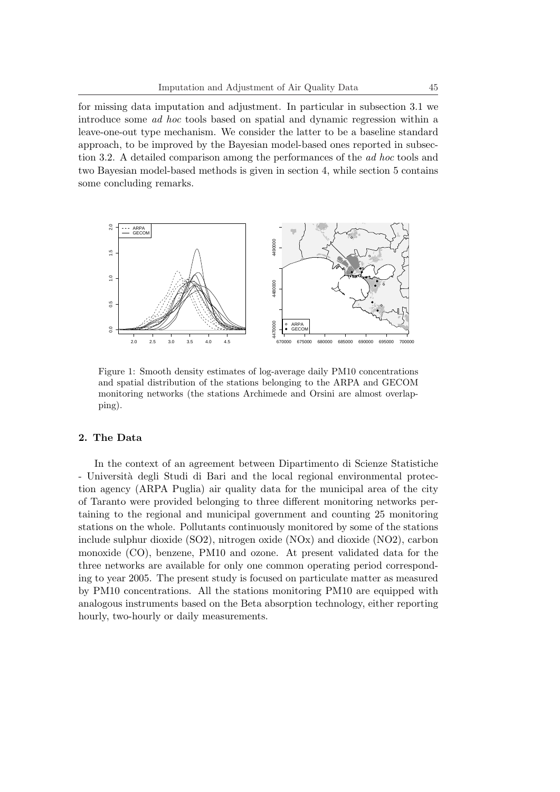for missing data imputation and adjustment. In particular in subsection 3.1 we introduce some *ad hoc* tools based on spatial and dynamic regression within a leave-one-out type mechanism. We consider the latter to be a baseline standard approach, to be improved by the Bayesian model-based ones reported in subsection 3.2. A detailed comparison among the performances of the *ad hoc* tools and two Bayesian model-based methods is given in section 4, while section 5 contains some concluding remarks.



Figure 1: Smooth density estimates of log-average daily PM10 concentrations and spatial distribution of the stations belonging to the ARPA and GECOM monitoring networks (the stations Archimede and Orsini are almost overlapping).

### **2. The Data**

In the context of an agreement between Dipartimento di Scienze Statistiche - Università degli Studi di Bari and the local regional environmental protection agency (ARPA Puglia) air quality data for the municipal area of the city of Taranto were provided belonging to three different monitoring networks pertaining to the regional and municipal government and counting 25 monitoring stations on the whole. Pollutants continuously monitored by some of the stations include sulphur dioxide (SO2), nitrogen oxide (NOx) and dioxide (NO2), carbon monoxide (CO), benzene, PM10 and ozone. At present validated data for the three networks are available for only one common operating period corresponding to year 2005. The present study is focused on particulate matter as measured by PM10 concentrations. All the stations monitoring PM10 are equipped with analogous instruments based on the Beta absorption technology, either reporting hourly, two-hourly or daily measurements.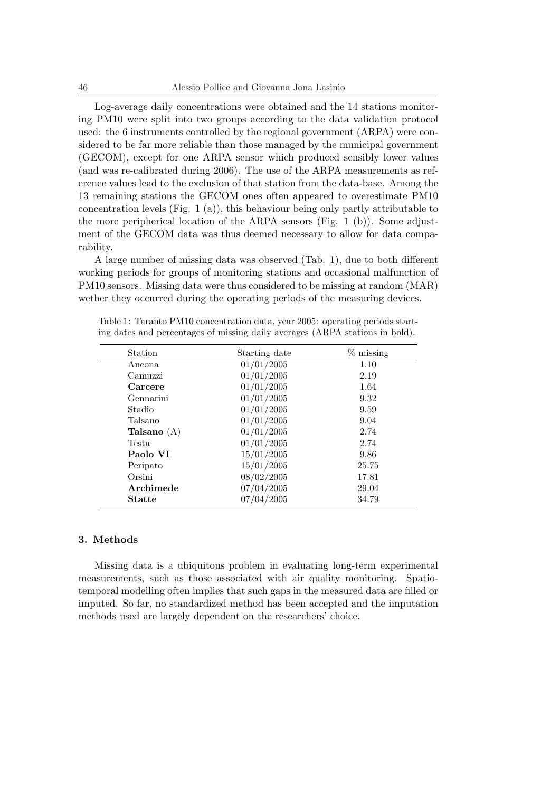Log-average daily concentrations were obtained and the 14 stations monitoring PM10 were split into two groups according to the data validation protocol used: the 6 instruments controlled by the regional government (ARPA) were considered to be far more reliable than those managed by the municipal government (GECOM), except for one ARPA sensor which produced sensibly lower values (and was re-calibrated during 2006). The use of the ARPA measurements as reference values lead to the exclusion of that station from the data-base. Among the 13 remaining stations the GECOM ones often appeared to overestimate PM10 concentration levels (Fig. 1 (a)), this behaviour being only partly attributable to the more peripherical location of the ARPA sensors (Fig. 1 (b)). Some adjustment of the GECOM data was thus deemed necessary to allow for data comparability.

A large number of missing data was observed (Tab. 1), due to both different working periods for groups of monitoring stations and occasional malfunction of PM10 sensors. Missing data were thus considered to be missing at random (MAR) wether they occurred during the operating periods of the measuring devices.

| Station       | $\%$ missing<br>Starting date |       |
|---------------|-------------------------------|-------|
| Ancona        | $\overline{01/01}/2005$       | 1.10  |
| Camuzzi       | 01/01/2005                    | 2.19  |
| Carcere       | 01/01/2005                    | 1.64  |
| Gennarini     | 01/01/2005                    | 9.32  |
| Stadio        | 01/01/2005                    | 9.59  |
| Talsano       | 01/01/2005                    | 9.04  |
| Talsano $(A)$ | 01/01/2005                    | 2.74  |
| <b>Testa</b>  | 01/01/2005                    | 2.74  |
| Paolo VI      | 15/01/2005                    | 9.86  |
| Peripato      | 15/01/2005                    | 25.75 |
| Orsini        | 08/02/2005                    | 17.81 |
| Archimede     | 07/04/2005                    | 29.04 |
| <b>Statte</b> | 07/04/2005                    | 34.79 |

Table 1: Taranto PM10 concentration data, year 2005: operating periods starting dates and percentages of missing daily averages (ARPA stations in bold).

### **3. Methods**

Missing data is a ubiquitous problem in evaluating long-term experimental measurements, such as those associated with air quality monitoring. Spatiotemporal modelling often implies that such gaps in the measured data are filled or imputed. So far, no standardized method has been accepted and the imputation methods used are largely dependent on the researchers' choice.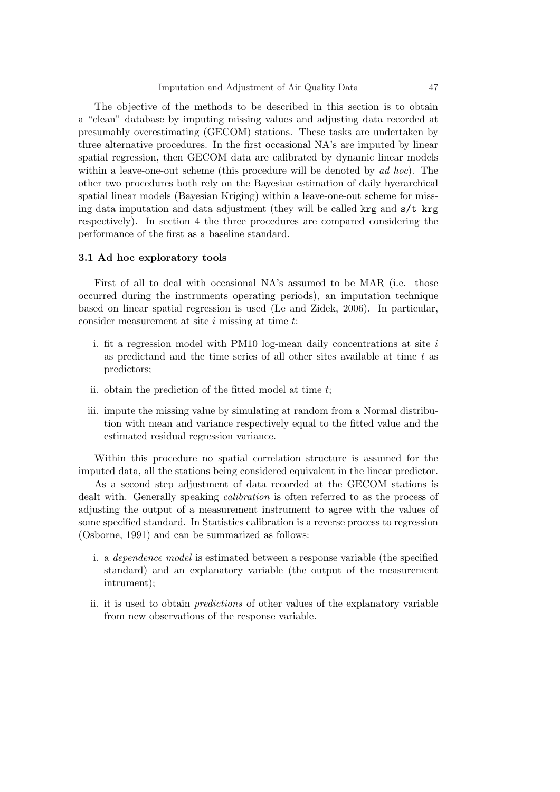The objective of the methods to be described in this section is to obtain a "clean" database by imputing missing values and adjusting data recorded at presumably overestimating (GECOM) stations. These tasks are undertaken by three alternative procedures. In the first occasional NA's are imputed by linear spatial regression, then GECOM data are calibrated by dynamic linear models within a leave-one-out scheme (this procedure will be denoted by *ad hoc*). The other two procedures both rely on the Bayesian estimation of daily hyerarchical spatial linear models (Bayesian Kriging) within a leave-one-out scheme for missing data imputation and data adjustment (they will be called krg and s/t krg respectively). In section 4 the three procedures are compared considering the performance of the first as a baseline standard.

#### **3.1 Ad hoc exploratory tools**

First of all to deal with occasional NA's assumed to be MAR (i.e. those occurred during the instruments operating periods), an imputation technique based on linear spatial regression is used (Le and Zidek, 2006). In particular, consider measurement at site *i* missing at time *t*:

- i. fit a regression model with PM10 log-mean daily concentrations at site *i* as predictand and the time series of all other sites available at time *t* as predictors;
- ii. obtain the prediction of the fitted model at time *t*;
- iii. impute the missing value by simulating at random from a Normal distribution with mean and variance respectively equal to the fitted value and the estimated residual regression variance.

Within this procedure no spatial correlation structure is assumed for the imputed data, all the stations being considered equivalent in the linear predictor.

As a second step adjustment of data recorded at the GECOM stations is dealt with. Generally speaking *calibration* is often referred to as the process of adjusting the output of a measurement instrument to agree with the values of some specified standard. In Statistics calibration is a reverse process to regression (Osborne, 1991) and can be summarized as follows:

- i. a *dependence model* is estimated between a response variable (the specified standard) and an explanatory variable (the output of the measurement intrument);
- ii. it is used to obtain *predictions* of other values of the explanatory variable from new observations of the response variable.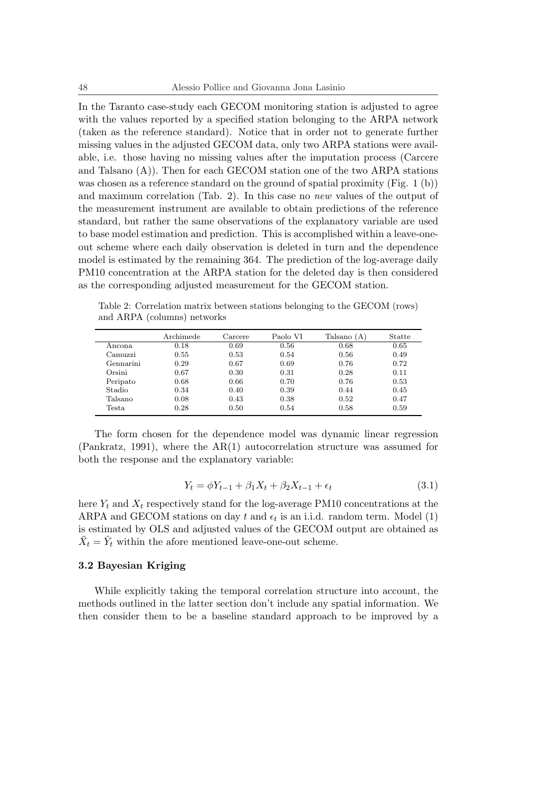In the Taranto case-study each GECOM monitoring station is adjusted to agree with the values reported by a specified station belonging to the ARPA network (taken as the reference standard). Notice that in order not to generate further missing values in the adjusted GECOM data, only two ARPA stations were available, i.e. those having no missing values after the imputation process (Carcere and Talsano  $(A)$ ). Then for each GECOM station one of the two ARPA stations was chosen as a reference standard on the ground of spatial proximity (Fig. 1 (b)) and maximum correlation (Tab. 2). In this case no *new* values of the output of the measurement instrument are available to obtain predictions of the reference standard, but rather the same observations of the explanatory variable are used to base model estimation and prediction. This is accomplished within a leave-oneout scheme where each daily observation is deleted in turn and the dependence model is estimated by the remaining 364. The prediction of the log-average daily PM10 concentration at the ARPA station for the deleted day is then considered as the corresponding adjusted measurement for the GECOM station.

Table 2: Correlation matrix between stations belonging to the GECOM (rows) and ARPA (columns) networks

|                        | Archimede | Carcere | Paolo VI | Talsano (A) | Statte |
|------------------------|-----------|---------|----------|-------------|--------|
| Ancona                 | 0.18      | 0.69    | 0.56     | 0.68        | 0.65   |
| Camuzzi                | 0.55      | 0.53    | 0.54     | 0.56        | 0.49   |
| Gennarini              | 0.29      | 0.67    | 0.69     | 0.76        | 0.72   |
| Orsini                 | 0.67      | 0.30    | 0.31     | 0.28        | 0.11   |
| Peripato               | 0.68      | 0.66    | 0.70     | 0.76        | 0.53   |
| Stadio                 | 0.34      | 0.40    | 0.39     | 0.44        | 0.45   |
| Talsano                | 0.08      | 0.43    | 0.38     | 0.52        | 0.47   |
| $\operatorname{Testa}$ | 0.28      | 0.50    | 0.54     | 0.58        | 0.59   |

The form chosen for the dependence model was dynamic linear regression (Pankratz, 1991), where the AR(1) autocorrelation structure was assumed for both the response and the explanatory variable:

$$
Y_t = \phi Y_{t-1} + \beta_1 X_t + \beta_2 X_{t-1} + \epsilon_t \tag{3.1}
$$

here  $Y_t$  and  $X_t$  respectively stand for the log-average PM10 concentrations at the ARPA and GECOM stations on day  $t$  and  $\epsilon_t$  is an i.i.d. random term. Model (1) is estimated by OLS and adjusted values of the GECOM output are obtained as  $\tilde{X}_t = \hat{Y}_t$  within the afore mentioned leave-one-out scheme.

## **3.2 Bayesian Kriging**

While explicitly taking the temporal correlation structure into account, the methods outlined in the latter section don't include any spatial information. We then consider them to be a baseline standard approach to be improved by a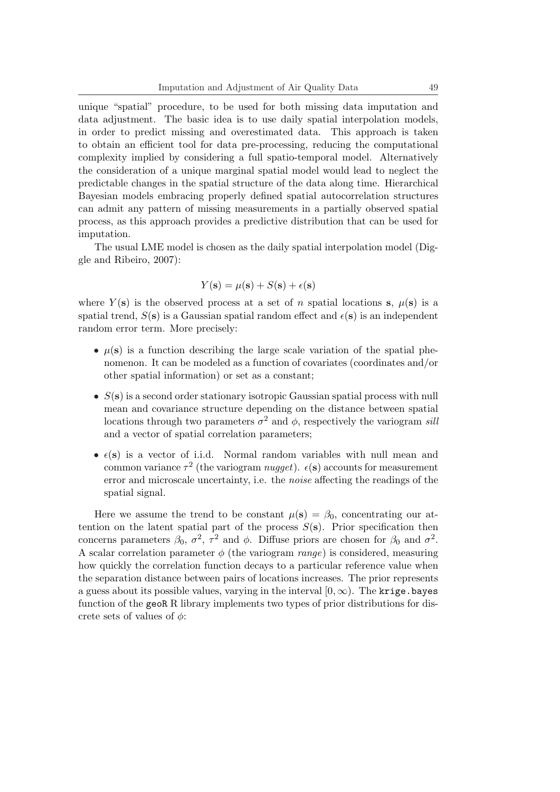unique "spatial" procedure, to be used for both missing data imputation and data adjustment. The basic idea is to use daily spatial interpolation models, in order to predict missing and overestimated data. This approach is taken to obtain an efficient tool for data pre-processing, reducing the computational complexity implied by considering a full spatio-temporal model. Alternatively the consideration of a unique marginal spatial model would lead to neglect the predictable changes in the spatial structure of the data along time. Hierarchical Bayesian models embracing properly defined spatial autocorrelation structures can admit any pattern of missing measurements in a partially observed spatial process, as this approach provides a predictive distribution that can be used for imputation.

The usual LME model is chosen as the daily spatial interpolation model (Diggle and Ribeiro, 2007):

$$
Y(\mathbf{s}) = \mu(\mathbf{s}) + S(\mathbf{s}) + \epsilon(\mathbf{s})
$$

where  $Y(\mathbf{s})$  is the observed process at a set of *n* spatial locations **s**,  $\mu(\mathbf{s})$  is a spatial trend,  $S(\mathbf{s})$  is a Gaussian spatial random effect and  $\epsilon(\mathbf{s})$  is an independent random error term. More precisely:

- $\mu(s)$  is a function describing the large scale variation of the spatial phenomenon. It can be modeled as a function of covariates (coordinates and/or other spatial information) or set as a constant;
- *• S*(**s**) is a second order stationary isotropic Gaussian spatial process with null mean and covariance structure depending on the distance between spatial locations through two parameters  $\sigma^2$  and  $\phi$ , respectively the variogram *sili* and a vector of spatial correlation parameters;
- $\epsilon(s)$  is a vector of i.i.d. Normal random variables with null mean and common variance  $\tau^2$  (the variogram *nugget*).  $\epsilon(s)$  accounts for measurement error and microscale uncertainty, i.e. the *noise* affecting the readings of the spatial signal.

Here we assume the trend to be constant  $\mu(\mathbf{s}) = \beta_0$ , concentrating our attention on the latent spatial part of the process  $S(\mathbf{s})$ . Prior specification then concerns parameters  $\beta_0$ ,  $\sigma^2$ ,  $\tau^2$  and  $\phi$ . Diffuse priors are chosen for  $\beta_0$  and  $\sigma^2$ . A scalar correlation parameter *φ* (the variogram *range*) is considered, measuring how quickly the correlation function decays to a particular reference value when the separation distance between pairs of locations increases. The prior represents a guess about its possible values, varying in the interval  $[0, \infty)$ . The krige bayes function of the geoR R library implements two types of prior distributions for discrete sets of values of *φ*: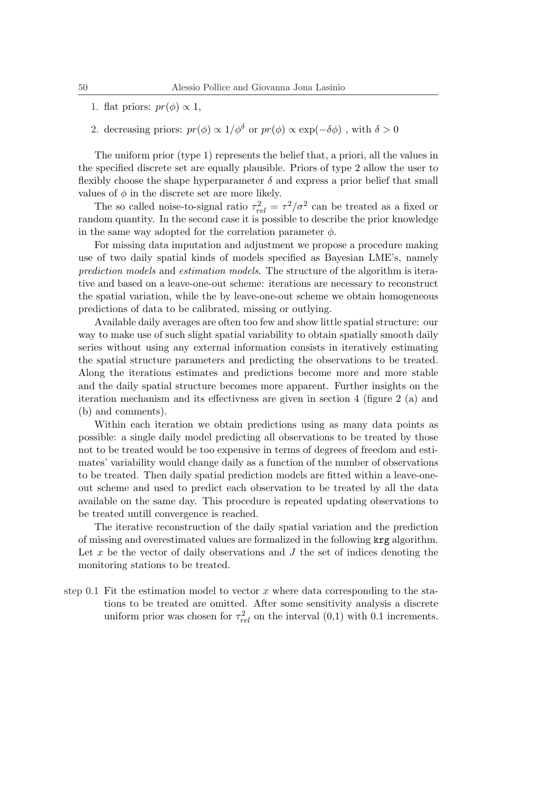- 1. flat priors:  $pr(\phi) \propto 1$ ,
- 2. decreasing priors:  $pr(\phi) \propto 1/\phi^{\delta}$  or  $pr(\phi) \propto \exp(-\delta\phi)$ , with  $\delta > 0$

The uniform prior (type 1) represents the belief that, a priori, all the values in the specified discrete set are equally plausible. Priors of type 2 allow the user to flexibly choose the shape hyperparameter  $\delta$  and express a prior belief that small values of  $\phi$  in the discrete set are more likely.

The so called noise-to-signal ratio  $\tau_{rel}^2 = \tau^2/\sigma^2$  can be treated as a fixed or random quantity. In the second case it is possible to describe the prior knowledge in the same way adopted for the correlation parameter  $\phi$ .

For missing data imputation and adjustment we propose a procedure making use of two daily spatial kinds of models specified as Bayesian LME's, namely *prediction models* and *estimation models*. The structure of the algorithm is iterative and based on a leave-one-out scheme: iterations are necessary to reconstruct the spatial variation, while the by leave-one-out scheme we obtain homogeneous predictions of data to be calibrated, missing or outlying.

Available daily averages are often too few and show little spatial structure: our way to make use of such slight spatial variability to obtain spatially smooth daily series without using any external information consists in iteratively estimating the spatial structure parameters and predicting the observations to be treated. Along the iterations estimates and predictions become more and more stable and the daily spatial structure becomes more apparent. Further insights on the iteration mechanism and its effectivness are given in section 4 (figure 2 (a) and (b) and comments).

Within each iteration we obtain predictions using as many data points as possible: a single daily model predicting all observations to be treated by those not to be treated would be too expensive in terms of degrees of freedom and estimates' variability would change daily as a function of the number of observations to be treated. Then daily spatial prediction models are fitted within a leave-oneout scheme and used to predict each observation to be treated by all the data available on the same day. This procedure is repeated updating observations to be treated untill convergence is reached.

The iterative reconstruction of the daily spatial variation and the prediction of missing and overestimated values are formalized in the following krg algorithm. Let x be the vector of daily observations and J the set of indices denoting the monitoring stations to be treated.

step 0.1 Fit the estimation model to vector  $x$  where data corresponding to the stations to be treated are omitted. After some sensitivity analysis a discrete uniform prior was chosen for  $\tau_{rel}^2$  on the interval  $(0,1)$  with 0.1 increments.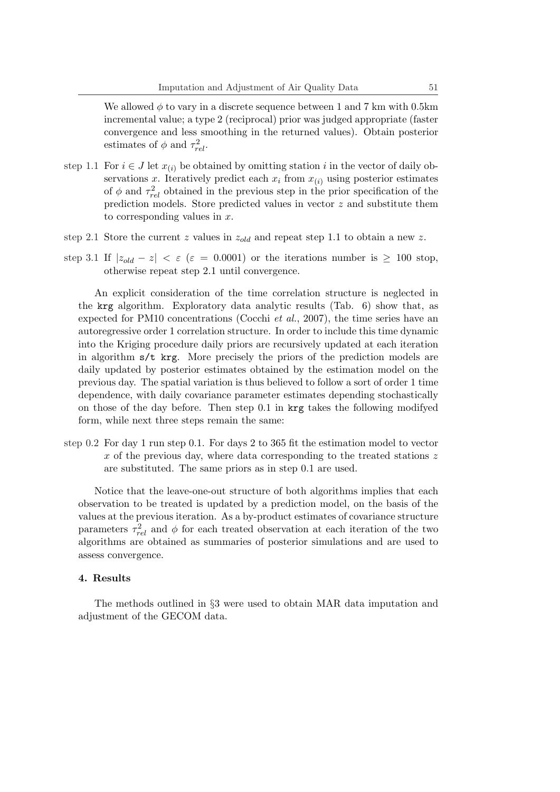We allowed  $\phi$  to vary in a discrete sequence between 1 and 7 km with 0.5km incremental value; a type 2 (reciprocal) prior was judged appropriate (faster convergence and less smoothing in the returned values). Obtain posterior estimates of  $\phi$  and  $\tau_{rel}^2$ .

- step 1.1 For  $i \in J$  let  $x_{(i)}$  be obtained by omitting station *i* in the vector of daily observations *x*. Iteratively predict each  $x_i$  from  $x_{(i)}$  using posterior estimates of  $\phi$  and  $\tau_{rel}^2$  obtained in the previous step in the prior specification of the prediction models. Store predicted values in vector *z* and substitute them to corresponding values in *x*.
- step 2.1 Store the current *z* values in *zold* and repeat step 1.1 to obtain a new *z*.
- step 3.1 If  $|z_{old} z| < \varepsilon$  ( $\varepsilon = 0.0001$ ) or the iterations number is  $\geq 100$  stop, otherwise repeat step 2.1 until convergence.

An explicit consideration of the time correlation structure is neglected in the krg algorithm. Exploratory data analytic results (Tab. 6) show that, as expected for PM10 concentrations (Cocchi *et al.*, 2007), the time series have an autoregressive order 1 correlation structure. In order to include this time dynamic into the Kriging procedure daily priors are recursively updated at each iteration in algorithm  $s/t$  krg. More precisely the priors of the prediction models are daily updated by posterior estimates obtained by the estimation model on the previous day. The spatial variation is thus believed to follow a sort of order 1 time dependence, with daily covariance parameter estimates depending stochastically on those of the day before. Then step 0.1 in krg takes the following modifyed form, while next three steps remain the same:

step 0.2 For day 1 run step 0.1. For days 2 to 365 fit the estimation model to vector *x* of the previous day, where data corresponding to the treated stations *z* are substituted. The same priors as in step 0.1 are used.

Notice that the leave-one-out structure of both algorithms implies that each observation to be treated is updated by a prediction model, on the basis of the values at the previous iteration. As a by-product estimates of covariance structure parameters  $\tau_{rel}^2$  and  $\phi$  for each treated observation at each iteration of the two algorithms are obtained as summaries of posterior simulations and are used to assess convergence.

#### **4. Results**

The methods outlined in *§*3 were used to obtain MAR data imputation and adjustment of the GECOM data.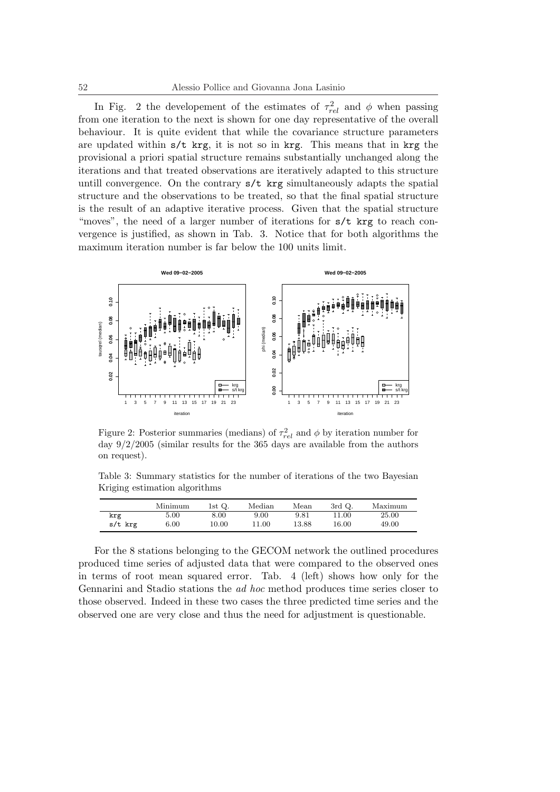In Fig. 2 the developement of the estimates of  $\tau_{rel}^2$  and  $\phi$  when passing from one iteration to the next is shown for one day representative of the overall behaviour. It is quite evident that while the covariance structure parameters are updated within  $s/t$  krg, it is not so in krg. This means that in krg the provisional a priori spatial structure remains substantially unchanged along the iterations and that treated observations are iteratively adapted to this structure untill convergence. On the contrary  $s/t$  krg simultaneously adapts the spatial structure and the observations to be treated, so that the final spatial structure is the result of an adaptive iterative process. Given that the spatial structure "moves", the need of a larger number of iterations for  $s/t$  krg to reach convergence is justified, as shown in Tab. 3. Notice that for both algorithms the maximum iteration number is far below the 100 units limit.



Figure 2: Posterior summaries (medians) of  $\tau_{rel}^2$  and  $\phi$  by iteration number for day 9/2/2005 (similar results for the 365 days are available from the authors on request).

Table 3: Summary statistics for the number of iterations of the two Bayesian Kriging estimation algorithms

|           | Minimum | 1st $Q$ . | Median | Mean  | $3rd$ Q. | Maximum |
|-----------|---------|-----------|--------|-------|----------|---------|
| krg       | 5.00    | $8.00\,$  | 9.00   | 9.81  | 11.00    | 25.00   |
| $s/t$ krg | 6.00    | 10.00     | 1.00   | 13.88 | 16.00    | 49.00   |

For the 8 stations belonging to the GECOM network the outlined procedures produced time series of adjusted data that were compared to the observed ones in terms of root mean squared error. Tab. 4 (left) shows how only for the Gennarini and Stadio stations the *ad hoc* method produces time series closer to those observed. Indeed in these two cases the three predicted time series and the observed one are very close and thus the need for adjustment is questionable.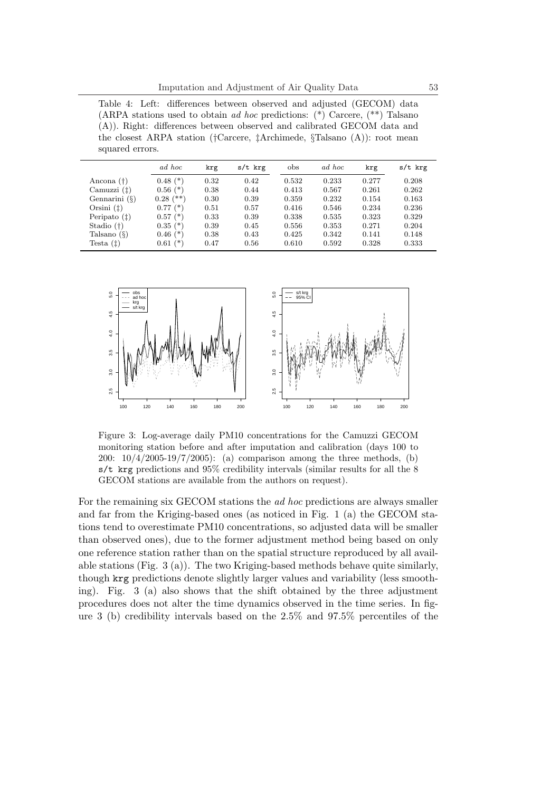Table 4: Left: differences between observed and adjusted (GECOM) data (ARPA stations used to obtain *ad hoc* predictions: (\*) Carcere, (\*\*) Talsano (A)). Right: differences between observed and calibrated GECOM data and the closest ARPA station (*†*Carcere, *‡*Archimede, *§*Talsano (A)): root mean squared errors.

|                  | ad hoc          | krg  | s/t krg | obs   | ad hoc | krg   | s/t krg |
|------------------|-----------------|------|---------|-------|--------|-------|---------|
| Ancona (†)       | $0.48$ $(*)$    | 0.32 | 0.42    | 0.532 | 0.233  | 0.277 | 0.208   |
| Camuzzi(f)       | $0.56$ $(*)$    | 0.38 | 0.44    | 0.413 | 0.567  | 0.261 | 0.262   |
| Gennarini $(\S)$ | (**)<br>0.28    | 0.30 | 0.39    | 0.359 | 0.232  | 0.154 | 0.163   |
| Orsini $(t)$     | $0.77$ $(*)$    | 0.51 | 0.57    | 0.416 | 0.546  | 0.234 | 0.236   |
| Peripato $(†)$   | $0.57$ $(*)$    | 0.33 | 0.39    | 0.338 | 0.535  | 0.323 | 0.329   |
| Stadio $(†)$     | $0.35$ $(*)$    | 0.39 | 0.45    | 0.556 | 0.353  | 0.271 | 0.204   |
| Talsano $(\S)$   | (*)<br>$0.46\,$ | 0.38 | 0.43    | 0.425 | 0.342  | 0.141 | 0.148   |
| Testa $(t)$      | (*`<br>$0.61\,$ | 0.47 | 0.56    | 0.610 | 0.592  | 0.328 | 0.333   |



Figure 3: Log-average daily PM10 concentrations for the Camuzzi GECOM monitoring station before and after imputation and calibration (days 100 to 200: 10/4/2005-19/7/2005): (a) comparison among the three methods, (b)  $s/t$  krg predictions and 95% credibility intervals (similar results for all the 8 GECOM stations are available from the authors on request).

For the remaining six GECOM stations the *ad hoc* predictions are always smaller and far from the Kriging-based ones (as noticed in Fig. 1 (a) the GECOM stations tend to overestimate PM10 concentrations, so adjusted data will be smaller than observed ones), due to the former adjustment method being based on only one reference station rather than on the spatial structure reproduced by all available stations (Fig. 3 (a)). The two Kriging-based methods behave quite similarly, though krg predictions denote slightly larger values and variability (less smoothing). Fig. 3 (a) also shows that the shift obtained by the three adjustment procedures does not alter the time dynamics observed in the time series. In figure 3 (b) credibility intervals based on the 2.5% and 97.5% percentiles of the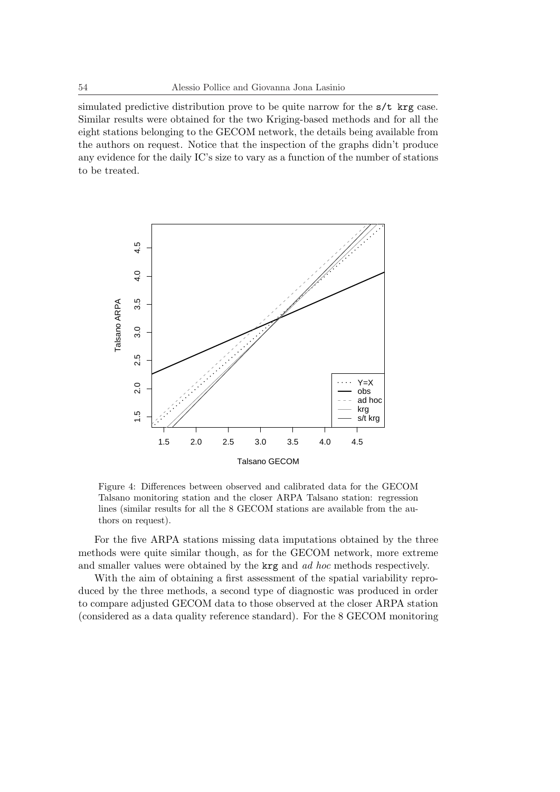simulated predictive distribution prove to be quite narrow for the  $s/t$  krg case. Similar results were obtained for the two Kriging-based methods and for all the eight stations belonging to the GECOM network, the details being available from the authors on request. Notice that the inspection of the graphs didn't produce any evidence for the daily IC's size to vary as a function of the number of stations to be treated.



Figure 4: Differences between observed and calibrated data for the GECOM Talsano monitoring station and the closer ARPA Talsano station: regression lines (similar results for all the 8 GECOM stations are available from the authors on request).

For the five ARPA stations missing data imputations obtained by the three methods were quite similar though, as for the GECOM network, more extreme and smaller values were obtained by the krg and *ad hoc* methods respectively.

With the aim of obtaining a first assessment of the spatial variability reproduced by the three methods, a second type of diagnostic was produced in order to compare adjusted GECOM data to those observed at the closer ARPA station (considered as a data quality reference standard). For the 8 GECOM monitoring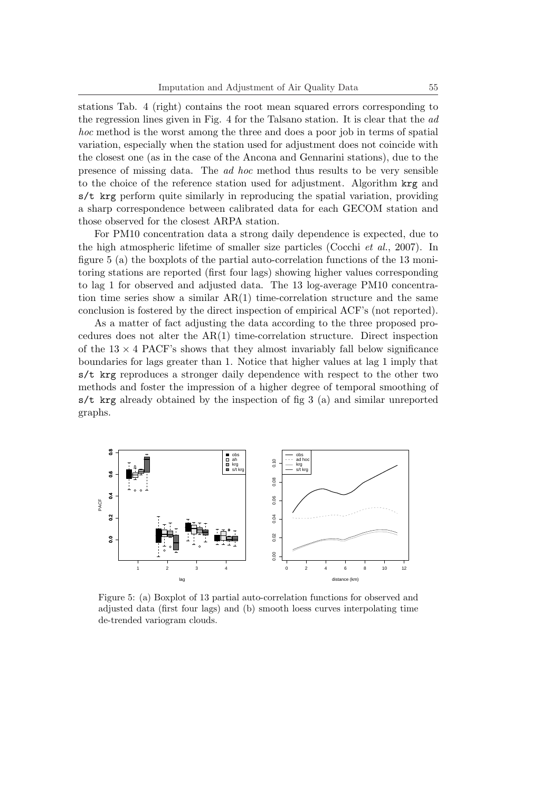stations Tab. 4 (right) contains the root mean squared errors corresponding to the regression lines given in Fig. 4 for the Talsano station. It is clear that the *ad hoc* method is the worst among the three and does a poor job in terms of spatial variation, especially when the station used for adjustment does not coincide with the closest one (as in the case of the Ancona and Gennarini stations), due to the presence of missing data. The *ad hoc* method thus results to be very sensible to the choice of the reference station used for adjustment. Algorithm krg and  $s/t$  krg perform quite similarly in reproducing the spatial variation, providing a sharp correspondence between calibrated data for each GECOM station and those observed for the closest ARPA station.

For PM10 concentration data a strong daily dependence is expected, due to the high atmospheric lifetime of smaller size particles (Cocchi *et al.*, 2007). In figure 5 (a) the boxplots of the partial auto-correlation functions of the 13 monitoring stations are reported (first four lags) showing higher values corresponding to lag 1 for observed and adjusted data. The 13 log-average PM10 concentration time series show a similar  $AR(1)$  time-correlation structure and the same conclusion is fostered by the direct inspection of empirical ACF's (not reported).

As a matter of fact adjusting the data according to the three proposed procedures does not alter the AR(1) time-correlation structure. Direct inspection of the  $13 \times 4$  PACF's shows that they almost invariably fall below significance boundaries for lags greater than 1. Notice that higher values at lag 1 imply that s/t krg reproduces a stronger daily dependence with respect to the other two methods and foster the impression of a higher degree of temporal smoothing of s/t krg already obtained by the inspection of fig 3 (a) and similar unreported graphs.



Figure 5: (a) Boxplot of 13 partial auto-correlation functions for observed and adjusted data (first four lags) and (b) smooth loess curves interpolating time de-trended variogram clouds.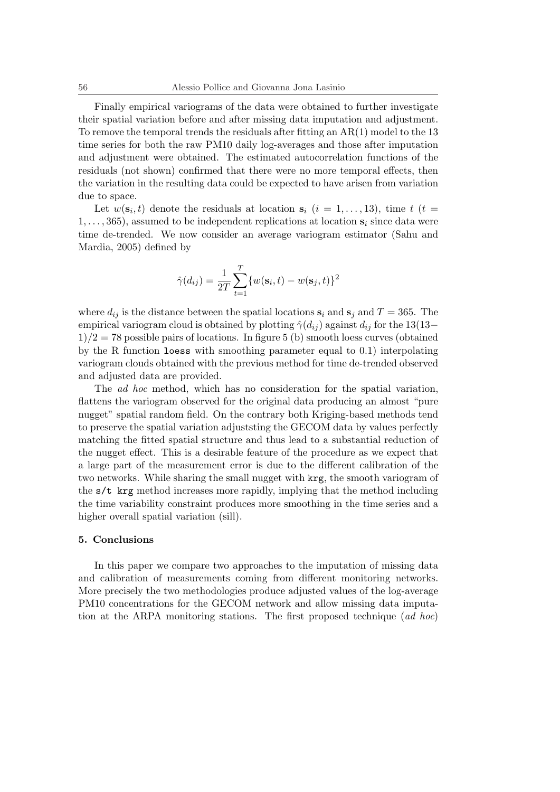Finally empirical variograms of the data were obtained to further investigate their spatial variation before and after missing data imputation and adjustment. To remove the temporal trends the residuals after fitting an  $AR(1)$  model to the 13 time series for both the raw PM10 daily log-averages and those after imputation and adjustment were obtained. The estimated autocorrelation functions of the residuals (not shown) confirmed that there were no more temporal effects, then the variation in the resulting data could be expected to have arisen from variation due to space.

Let  $w(\mathbf{s}_i, t)$  denote the residuals at location  $\mathbf{s}_i$  ( $i = 1, \ldots, 13$ ), time  $t$  ( $t =$ 1*, . . . ,* 365), assumed to be independent replications at location **s***<sup>i</sup>* since data were time de-trended. We now consider an average variogram estimator (Sahu and Mardia, 2005) defined by

$$
\hat{\gamma}(d_{ij}) = \frac{1}{2T} \sum_{t=1}^{T} \{w(\mathbf{s}_i, t) - w(\mathbf{s}_j, t)\}^2
$$

where  $d_{ij}$  is the distance between the spatial locations  $\mathbf{s}_i$  and  $\mathbf{s}_j$  and  $T = 365$ . The empirical variogram cloud is obtained by plotting  $\hat{\gamma}(d_{ij})$  against  $d_{ij}$  for the 13(13*−* 1)*/*2 = 78 possible pairs of locations. In figure 5 (b) smooth loess curves (obtained by the R function loess with smoothing parameter equal to 0.1) interpolating variogram clouds obtained with the previous method for time de-trended observed and adjusted data are provided.

The *ad hoc* method, which has no consideration for the spatial variation, flattens the variogram observed for the original data producing an almost "pure nugget" spatial random field. On the contrary both Kriging-based methods tend to preserve the spatial variation adjuststing the GECOM data by values perfectly matching the fitted spatial structure and thus lead to a substantial reduction of the nugget effect. This is a desirable feature of the procedure as we expect that a large part of the measurement error is due to the different calibration of the two networks. While sharing the small nugget with krg, the smooth variogram of the s/t krg method increases more rapidly, implying that the method including the time variability constraint produces more smoothing in the time series and a higher overall spatial variation (sill).

### **5. Conclusions**

In this paper we compare two approaches to the imputation of missing data and calibration of measurements coming from different monitoring networks. More precisely the two methodologies produce adjusted values of the log-average PM10 concentrations for the GECOM network and allow missing data imputation at the ARPA monitoring stations. The first proposed technique (*ad hoc*)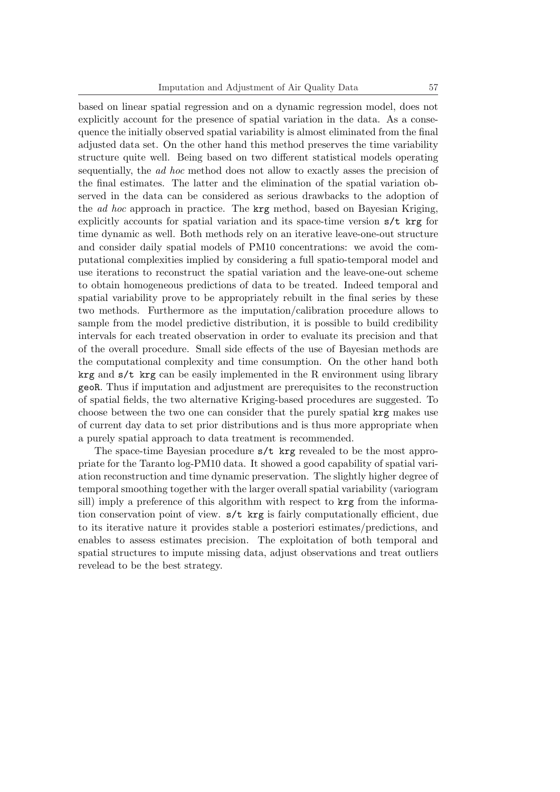based on linear spatial regression and on a dynamic regression model, does not explicitly account for the presence of spatial variation in the data. As a consequence the initially observed spatial variability is almost eliminated from the final adjusted data set. On the other hand this method preserves the time variability structure quite well. Being based on two different statistical models operating sequentially, the *ad hoc* method does not allow to exactly asses the precision of the final estimates. The latter and the elimination of the spatial variation observed in the data can be considered as serious drawbacks to the adoption of the *ad hoc* approach in practice. The krg method, based on Bayesian Kriging, explicitly accounts for spatial variation and its space-time version  $s/t$  krg for time dynamic as well. Both methods rely on an iterative leave-one-out structure and consider daily spatial models of PM10 concentrations: we avoid the computational complexities implied by considering a full spatio-temporal model and use iterations to reconstruct the spatial variation and the leave-one-out scheme to obtain homogeneous predictions of data to be treated. Indeed temporal and spatial variability prove to be appropriately rebuilt in the final series by these two methods. Furthermore as the imputation/calibration procedure allows to sample from the model predictive distribution, it is possible to build credibility intervals for each treated observation in order to evaluate its precision and that of the overall procedure. Small side effects of the use of Bayesian methods are the computational complexity and time consumption. On the other hand both  $\arg$  and  $s/t$  krg can be easily implemented in the R environment using library geoR. Thus if imputation and adjustment are prerequisites to the reconstruction of spatial fields, the two alternative Kriging-based procedures are suggested. To choose between the two one can consider that the purely spatial krg makes use of current day data to set prior distributions and is thus more appropriate when a purely spatial approach to data treatment is recommended.

The space-time Bayesian procedure s/t krg revealed to be the most appropriate for the Taranto log-PM10 data. It showed a good capability of spatial variation reconstruction and time dynamic preservation. The slightly higher degree of temporal smoothing together with the larger overall spatial variability (variogram sill) imply a preference of this algorithm with respect to krg from the information conservation point of view. s/t krg is fairly computationally efficient, due to its iterative nature it provides stable a posteriori estimates/predictions, and enables to assess estimates precision. The exploitation of both temporal and spatial structures to impute missing data, adjust observations and treat outliers revelead to be the best strategy.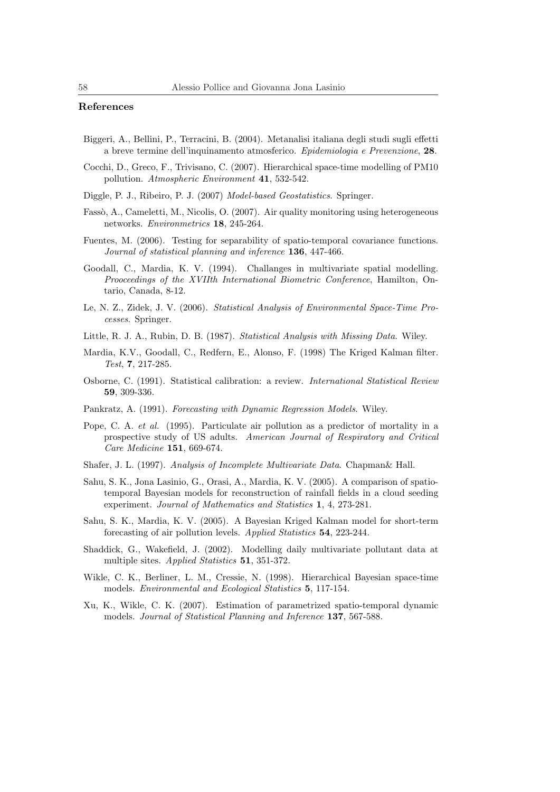## **References**

- Biggeri, A., Bellini, P., Terracini, B. (2004). Metanalisi italiana degli studi sugli effetti a breve termine dell'inquinamento atmosferico. *Epidemiologia e Prevenzione*, **28**.
- Cocchi, D., Greco, F., Trivisano, C. (2007). Hierarchical space-time modelling of PM10 pollution. *Atmospheric Environment* **41**, 532-542.
- Diggle, P. J., Ribeiro, P. J. (2007) *Model-based Geostatistics*. Springer.
- Fassò, A., Cameletti, M., Nicolis, O. (2007). Air quality monitoring using heterogeneous networks. *Environmetrics* **18**, 245-264.
- Fuentes, M. (2006). Testing for separability of spatio-temporal covariance functions. *Journal of statistical planning and inference* **136**, 447-466.
- Goodall, C., Mardia, K. V. (1994). Challanges in multivariate spatial modelling. *Prooceedings of the XVIIth International Biometric Conference*, Hamilton, Ontario, Canada, 8-12.
- Le, N. Z., Zidek, J. V. (2006). *Statistical Analysis of Environmental Space-Time Processes*. Springer.
- Little, R. J. A., Rubin, D. B. (1987). *Statistical Analysis with Missing Data*. Wiley.
- Mardia, K.V., Goodall, C., Redfern, E., Alonso, F. (1998) The Kriged Kalman filter. *Test*, **7**, 217-285.
- Osborne, C. (1991). Statistical calibration: a review. *International Statistical Review* **59**, 309-336.
- Pankratz, A. (1991). *Forecasting with Dynamic Regression Models*. Wiley.
- Pope, C. A. *et al.* (1995). Particulate air pollution as a predictor of mortality in a prospective study of US adults. *American Journal of Respiratory and Critical Care Medicine* **151**, 669-674.
- Shafer, J. L. (1997). *Analysis of Incomplete Multivariate Data*. Chapman& Hall.
- Sahu, S. K., Jona Lasinio, G., Orasi, A., Mardia, K. V. (2005). A comparison of spatiotemporal Bayesian models for reconstruction of rainfall fields in a cloud seeding experiment. *Journal of Mathematics and Statistics* **1**, 4, 273-281.
- Sahu, S. K., Mardia, K. V. (2005). A Bayesian Kriged Kalman model for short-term forecasting of air pollution levels. *Applied Statistics* **54**, 223-244.
- Shaddick, G., Wakefield, J. (2002). Modelling daily multivariate pollutant data at multiple sites. *Applied Statistics* **51**, 351-372.
- Wikle, C. K., Berliner, L. M., Cressie, N. (1998). Hierarchical Bayesian space-time models. *Environmental and Ecological Statistics* **5**, 117-154.
- Xu, K., Wikle, C. K. (2007). Estimation of parametrized spatio-temporal dynamic models. *Journal of Statistical Planning and Inference* **137**, 567-588.